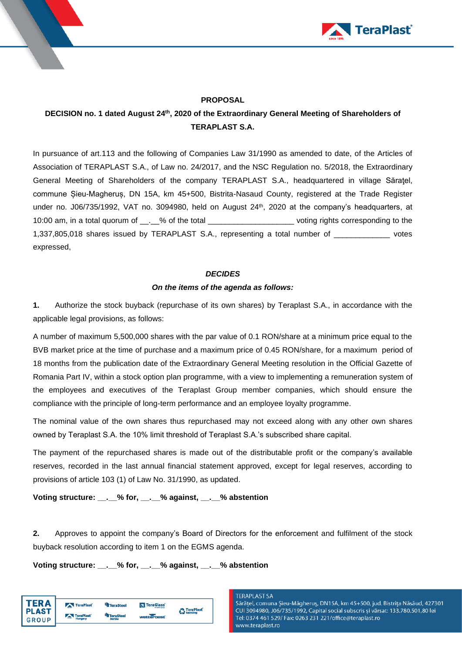



# **PROPOSAL**

# **DECISION no. 1 dated August 24 th , 2020 of the Extraordinary General Meeting of Shareholders of TERAPLAST S.A.**

In pursuance of art.113 and the following of Companies Law 31/1990 as amended to date, of the Articles of Association of TERAPLAST S.A., of Law no. 24/2017, and the NSC Regulation no. 5/2018, the Extraordinary General Meeting of Shareholders of the company TERAPLAST S.A., headquartered in village Săratel, commune Șieu-Magheruș, DN 15A, km 45+500, Bistrita-Nasaud County, registered at the Trade Register under no. J06/735/1992, VAT no. 3094980, held on August 24 th, 2020 at the company's headquarters, at 10:00 am, in a total quorum of \_\_.\_\_% of the total \_\_\_\_\_\_\_\_\_\_\_\_\_\_\_\_\_\_\_\_ voting rights corresponding to the 1,337,805,018 shares issued by TERAPLAST S.A., representing a total number of \_\_\_\_\_\_\_\_\_\_\_\_\_ votes expressed,

### *DECIDES*

## *On the items of the agenda as follows:*

**1.** Authorize the stock buyback (repurchase of its own shares) by Teraplast S.A., in accordance with the applicable legal provisions, as follows:

A number of maximum 5,500,000 shares with the par value of 0.1 RON/share at a minimum price equal to the BVB market price at the time of purchase and a maximum price of 0.45 RON/share, for a maximum period of 18 months from the publication date of the Extraordinary General Meeting resolution in the Official Gazette of Romania Part IV, within a stock option plan programme, with a view to implementing a remuneration system of the employees and executives of the Teraplast Group member companies, which should ensure the compliance with the principle of long-term performance and an employee loyalty programme.

The nominal value of the own shares thus repurchased may not exceed along with any other own shares owned by Teraplast S.A. the 10% limit threshold of Teraplast S.A.'s subscribed share capital.

The payment of the repurchased shares is made out of the distributable profit or the company's available reserves, recorded in the last annual financial statement approved, except for legal reserves, according to provisions of article 103 (1) of Law No. 31/1990, as updated.

**Voting structure: \_\_.\_\_% for, \_\_.\_\_% against, \_\_.\_\_% abstention**

**2.** Approves to appoint the company's Board of Directors for the enforcement and fulfilment of the stock buyback resolution according to item 1 on the EGMS agenda.

**Voting structure: \_\_.\_\_% for, \_\_.\_\_% against, \_\_.\_\_% abstention**

| TFR A                        | TeraPlast        | <sup>4</sup> TeraSteel     | <b>N</b> TeraGlass | <b>n</b> TeraPlast |
|------------------------------|------------------|----------------------------|--------------------|--------------------|
| <b>PLAST</b><br><b>GROUP</b> | <b>TeraPlast</b> | <b>TeraSteel</b><br>Serbia | watterbest         | Recycling          |
|                              |                  |                            |                    |                    |

#### **TERAPLAST SA**

Sărățel, comuna Șieu-Măgheruș, DN15A, km 45+500, jud. Bistrița Năsăud, 427301 CUI 3094980, J06/735/1992, Capital social subscris și vărsat: 133.780.501,80 lei Tel: 0374 461 529/ Fax: 0263 231 221/office@teraplast.ro www.teraplast.ro